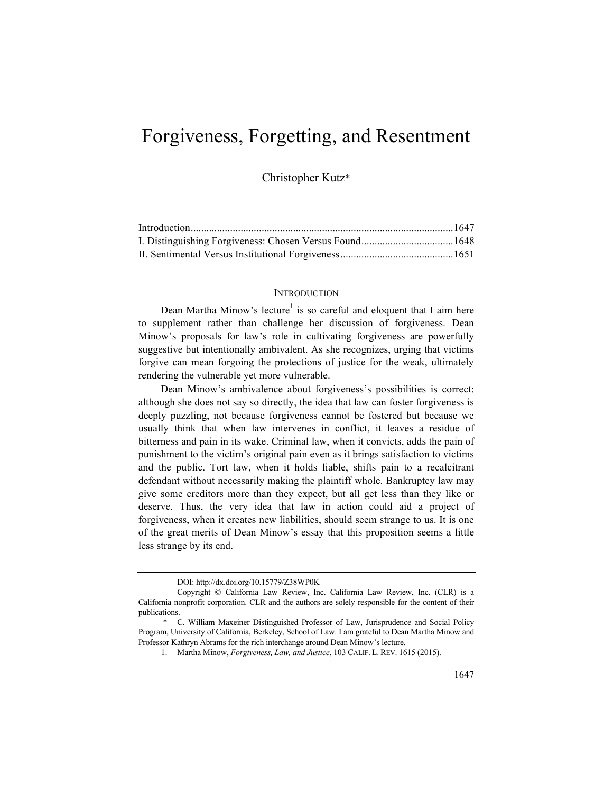# Forgiveness, Forgetting, and Resentment

Christopher Kutz\*

## **INTRODUCTION**

Dean Martha Minow's lecture<sup>1</sup> is so careful and eloquent that I aim here to supplement rather than challenge her discussion of forgiveness. Dean Minow's proposals for law's role in cultivating forgiveness are powerfully suggestive but intentionally ambivalent. As she recognizes, urging that victims forgive can mean forgoing the protections of justice for the weak, ultimately rendering the vulnerable yet more vulnerable.

Dean Minow's ambivalence about forgiveness's possibilities is correct: although she does not say so directly, the idea that law can foster forgiveness is deeply puzzling, not because forgiveness cannot be fostered but because we usually think that when law intervenes in conflict, it leaves a residue of bitterness and pain in its wake. Criminal law, when it convicts, adds the pain of punishment to the victim's original pain even as it brings satisfaction to victims and the public. Tort law, when it holds liable, shifts pain to a recalcitrant defendant without necessarily making the plaintiff whole. Bankruptcy law may give some creditors more than they expect, but all get less than they like or deserve. Thus, the very idea that law in action could aid a project of forgiveness, when it creates new liabilities, should seem strange to us. It is one of the great merits of Dean Minow's essay that this proposition seems a little less strange by its end.

DOI: http://dx.doi.org/10.15779/Z38WP0K

Copyright © California Law Review, Inc. California Law Review, Inc. (CLR) is a California nonprofit corporation. CLR and the authors are solely responsible for the content of their publications.

<sup>\*</sup> C. William Maxeiner Distinguished Professor of Law, Jurisprudence and Social Policy Program, University of California, Berkeley, School of Law. I am grateful to Dean Martha Minow and Professor Kathryn Abrams for the rich interchange around Dean Minow's lecture.

<sup>1.</sup> Martha Minow, *Forgiveness, Law, and Justice*, 103 CALIF. L. REV. 1615 (2015).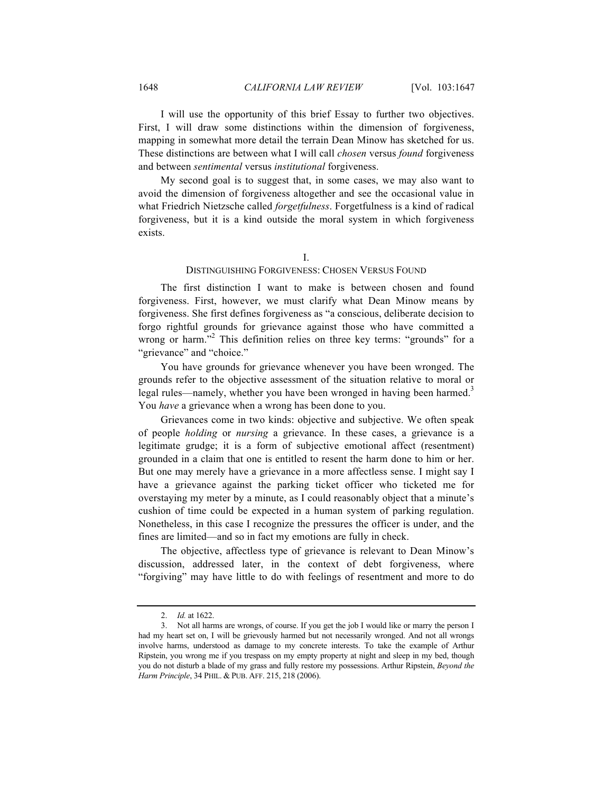I will use the opportunity of this brief Essay to further two objectives. First, I will draw some distinctions within the dimension of forgiveness, mapping in somewhat more detail the terrain Dean Minow has sketched for us. These distinctions are between what I will call *chosen* versus *found* forgiveness and between *sentimental* versus *institutional* forgiveness.

My second goal is to suggest that, in some cases, we may also want to avoid the dimension of forgiveness altogether and see the occasional value in what Friedrich Nietzsche called *forgetfulness*. Forgetfulness is a kind of radical forgiveness, but it is a kind outside the moral system in which forgiveness exists.

## I.

## DISTINGUISHING FORGIVENESS: CHOSEN VERSUS FOUND

The first distinction I want to make is between chosen and found forgiveness. First, however, we must clarify what Dean Minow means by forgiveness. She first defines forgiveness as "a conscious, deliberate decision to forgo rightful grounds for grievance against those who have committed a wrong or harm."<sup>2</sup> This definition relies on three key terms: "grounds" for a "grievance" and "choice."

You have grounds for grievance whenever you have been wronged. The grounds refer to the objective assessment of the situation relative to moral or legal rules—namely, whether you have been wronged in having been harmed.<sup>3</sup> You *have* a grievance when a wrong has been done to you.

Grievances come in two kinds: objective and subjective. We often speak of people *holding* or *nursing* a grievance. In these cases, a grievance is a legitimate grudge; it is a form of subjective emotional affect (resentment) grounded in a claim that one is entitled to resent the harm done to him or her. But one may merely have a grievance in a more affectless sense. I might say I have a grievance against the parking ticket officer who ticketed me for overstaying my meter by a minute, as I could reasonably object that a minute's cushion of time could be expected in a human system of parking regulation. Nonetheless, in this case I recognize the pressures the officer is under, and the fines are limited—and so in fact my emotions are fully in check.

The objective, affectless type of grievance is relevant to Dean Minow's discussion, addressed later, in the context of debt forgiveness, where "forgiving" may have little to do with feelings of resentment and more to do

<sup>2.</sup> *Id.* at 1622.

<sup>3.</sup> Not all harms are wrongs, of course. If you get the job I would like or marry the person I had my heart set on, I will be grievously harmed but not necessarily wronged. And not all wrongs involve harms, understood as damage to my concrete interests. To take the example of Arthur Ripstein, you wrong me if you trespass on my empty property at night and sleep in my bed, though you do not disturb a blade of my grass and fully restore my possessions. Arthur Ripstein, *Beyond the Harm Principle*, 34 PHIL. & PUB. AFF. 215, 218 (2006).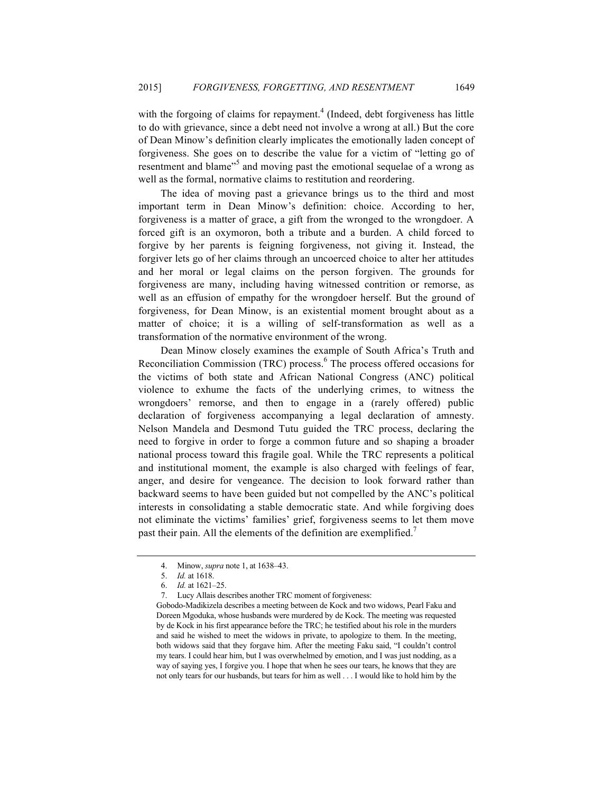with the forgoing of claims for repayment.<sup>4</sup> (Indeed, debt forgiveness has little to do with grievance, since a debt need not involve a wrong at all.) But the core of Dean Minow's definition clearly implicates the emotionally laden concept of forgiveness. She goes on to describe the value for a victim of "letting go of resentment and blame"<sup>5</sup> and moving past the emotional sequelae of a wrong as well as the formal, normative claims to restitution and reordering.

The idea of moving past a grievance brings us to the third and most important term in Dean Minow's definition: choice. According to her, forgiveness is a matter of grace, a gift from the wronged to the wrongdoer. A forced gift is an oxymoron, both a tribute and a burden. A child forced to forgive by her parents is feigning forgiveness, not giving it. Instead, the forgiver lets go of her claims through an uncoerced choice to alter her attitudes and her moral or legal claims on the person forgiven. The grounds for forgiveness are many, including having witnessed contrition or remorse, as well as an effusion of empathy for the wrongdoer herself. But the ground of forgiveness, for Dean Minow, is an existential moment brought about as a matter of choice; it is a willing of self-transformation as well as a transformation of the normative environment of the wrong.

Dean Minow closely examines the example of South Africa's Truth and Reconciliation Commission (TRC) process.<sup>6</sup> The process offered occasions for the victims of both state and African National Congress (ANC) political violence to exhume the facts of the underlying crimes, to witness the wrongdoers' remorse, and then to engage in a (rarely offered) public declaration of forgiveness accompanying a legal declaration of amnesty. Nelson Mandela and Desmond Tutu guided the TRC process, declaring the need to forgive in order to forge a common future and so shaping a broader national process toward this fragile goal. While the TRC represents a political and institutional moment, the example is also charged with feelings of fear, anger, and desire for vengeance. The decision to look forward rather than backward seems to have been guided but not compelled by the ANC's political interests in consolidating a stable democratic state. And while forgiving does not eliminate the victims' families' grief, forgiveness seems to let them move past their pain. All the elements of the definition are exemplified.<sup>7</sup>

Gobodo-Madikizela describes a meeting between de Kock and two widows, Pearl Faku and Doreen Mgoduka, whose husbands were murdered by de Kock. The meeting was requested by de Kock in his first appearance before the TRC; he testified about his role in the murders and said he wished to meet the widows in private, to apologize to them. In the meeting, both widows said that they forgave him. After the meeting Faku said, "I couldn't control my tears. I could hear him, but I was overwhelmed by emotion, and I was just nodding, as a way of saying yes, I forgive you. I hope that when he sees our tears, he knows that they are not only tears for our husbands, but tears for him as well . . . I would like to hold him by the

<sup>4.</sup> Minow, *supra* note 1, at 1638–43.

<sup>5.</sup> *Id.* at 1618.

<sup>6.</sup> *Id.* at 1621–25.

<sup>7.</sup> Lucy Allais describes another TRC moment of forgiveness: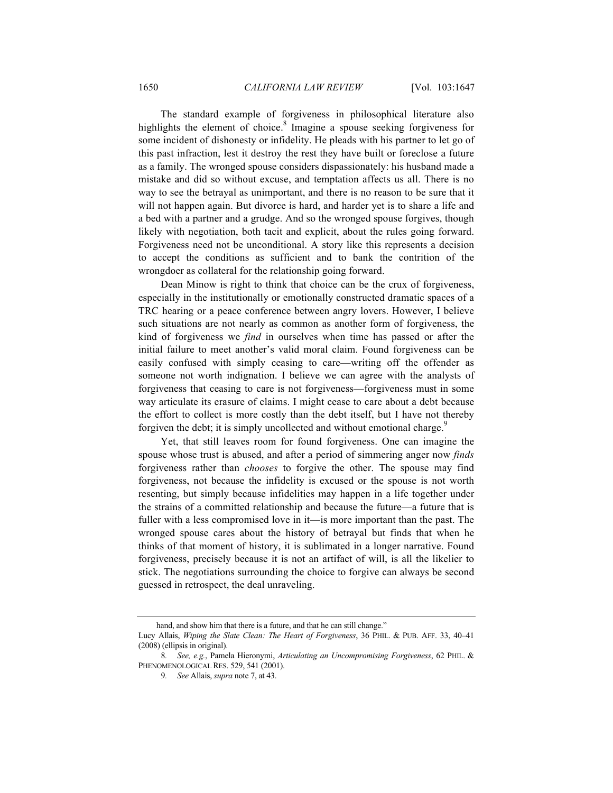The standard example of forgiveness in philosophical literature also highlights the element of choice. $8$  Imagine a spouse seeking forgiveness for some incident of dishonesty or infidelity. He pleads with his partner to let go of this past infraction, lest it destroy the rest they have built or foreclose a future as a family. The wronged spouse considers dispassionately: his husband made a mistake and did so without excuse, and temptation affects us all. There is no way to see the betrayal as unimportant, and there is no reason to be sure that it will not happen again. But divorce is hard, and harder yet is to share a life and a bed with a partner and a grudge. And so the wronged spouse forgives, though likely with negotiation, both tacit and explicit, about the rules going forward. Forgiveness need not be unconditional. A story like this represents a decision to accept the conditions as sufficient and to bank the contrition of the wrongdoer as collateral for the relationship going forward.

Dean Minow is right to think that choice can be the crux of forgiveness, especially in the institutionally or emotionally constructed dramatic spaces of a TRC hearing or a peace conference between angry lovers. However, I believe such situations are not nearly as common as another form of forgiveness, the kind of forgiveness we *find* in ourselves when time has passed or after the initial failure to meet another's valid moral claim. Found forgiveness can be easily confused with simply ceasing to care—writing off the offender as someone not worth indignation. I believe we can agree with the analysts of forgiveness that ceasing to care is not forgiveness—forgiveness must in some way articulate its erasure of claims. I might cease to care about a debt because the effort to collect is more costly than the debt itself, but I have not thereby forgiven the debt; it is simply uncollected and without emotional charge.<sup>9</sup>

Yet, that still leaves room for found forgiveness. One can imagine the spouse whose trust is abused, and after a period of simmering anger now *finds* forgiveness rather than *chooses* to forgive the other. The spouse may find forgiveness, not because the infidelity is excused or the spouse is not worth resenting, but simply because infidelities may happen in a life together under the strains of a committed relationship and because the future—a future that is fuller with a less compromised love in it—is more important than the past. The wronged spouse cares about the history of betrayal but finds that when he thinks of that moment of history, it is sublimated in a longer narrative. Found forgiveness, precisely because it is not an artifact of will, is all the likelier to stick. The negotiations surrounding the choice to forgive can always be second guessed in retrospect, the deal unraveling.

hand, and show him that there is a future, and that he can still change."

Lucy Allais, *Wiping the Slate Clean: The Heart of Forgiveness*, 36 PHIL. & PUB. AFF. 33, 40–41 (2008) (ellipsis in original).

<sup>8</sup>*. See, e.g.*, Pamela Hieronymi, *Articulating an Uncompromising Forgiveness*, 62 PHIL. & PHENOMENOLOGICAL RES. 529, 541 (2001).

<sup>9</sup>*. See* Allais, *supra* note 7, at 43.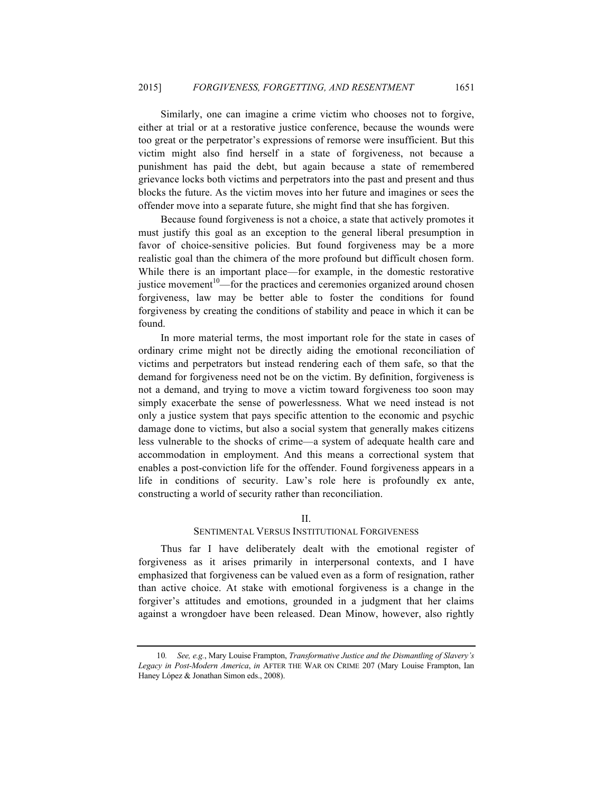Similarly, one can imagine a crime victim who chooses not to forgive, either at trial or at a restorative justice conference, because the wounds were too great or the perpetrator's expressions of remorse were insufficient. But this victim might also find herself in a state of forgiveness, not because a punishment has paid the debt, but again because a state of remembered grievance locks both victims and perpetrators into the past and present and thus blocks the future. As the victim moves into her future and imagines or sees the offender move into a separate future, she might find that she has forgiven.

Because found forgiveness is not a choice, a state that actively promotes it must justify this goal as an exception to the general liberal presumption in favor of choice-sensitive policies. But found forgiveness may be a more realistic goal than the chimera of the more profound but difficult chosen form. While there is an important place—for example, in the domestic restorative justice movement<sup>10</sup>—for the practices and ceremonies organized around chosen forgiveness, law may be better able to foster the conditions for found forgiveness by creating the conditions of stability and peace in which it can be found.

In more material terms, the most important role for the state in cases of ordinary crime might not be directly aiding the emotional reconciliation of victims and perpetrators but instead rendering each of them safe, so that the demand for forgiveness need not be on the victim. By definition, forgiveness is not a demand, and trying to move a victim toward forgiveness too soon may simply exacerbate the sense of powerlessness. What we need instead is not only a justice system that pays specific attention to the economic and psychic damage done to victims, but also a social system that generally makes citizens less vulnerable to the shocks of crime—a system of adequate health care and accommodation in employment. And this means a correctional system that enables a post-conviction life for the offender. Found forgiveness appears in a life in conditions of security. Law's role here is profoundly ex ante, constructing a world of security rather than reconciliation.

#### II.

#### SENTIMENTAL VERSUS INSTITUTIONAL FORGIVENESS

Thus far I have deliberately dealt with the emotional register of forgiveness as it arises primarily in interpersonal contexts, and I have emphasized that forgiveness can be valued even as a form of resignation, rather than active choice. At stake with emotional forgiveness is a change in the forgiver's attitudes and emotions, grounded in a judgment that her claims against a wrongdoer have been released. Dean Minow, however, also rightly

<sup>10</sup>*. See, e.g.*, Mary Louise Frampton, *Transformative Justice and the Dismantling of Slavery's Legacy in Post-Modern America*, *in* AFTER THE WAR ON CRIME 207 (Mary Louise Frampton, Ian Haney López & Jonathan Simon eds., 2008).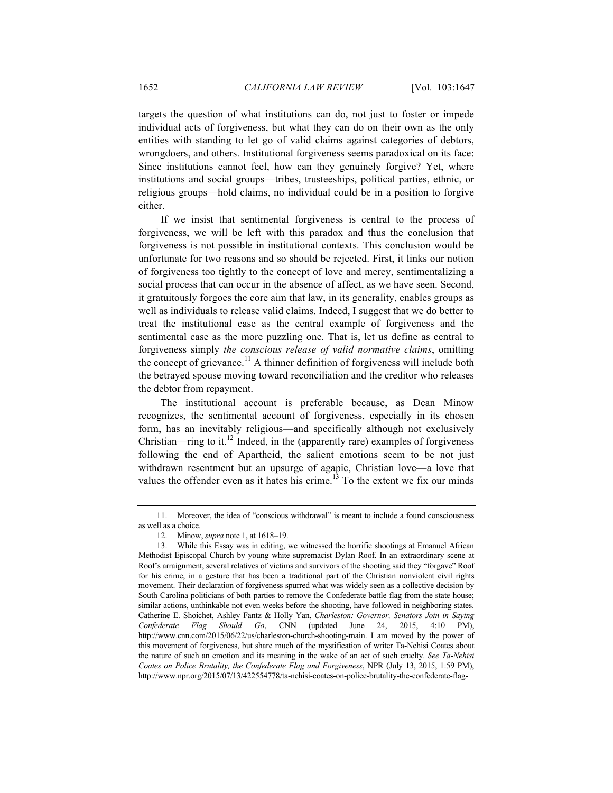targets the question of what institutions can do, not just to foster or impede individual acts of forgiveness, but what they can do on their own as the only entities with standing to let go of valid claims against categories of debtors, wrongdoers, and others. Institutional forgiveness seems paradoxical on its face: Since institutions cannot feel, how can they genuinely forgive? Yet, where institutions and social groups—tribes, trusteeships, political parties, ethnic, or religious groups—hold claims, no individual could be in a position to forgive either.

If we insist that sentimental forgiveness is central to the process of forgiveness, we will be left with this paradox and thus the conclusion that forgiveness is not possible in institutional contexts. This conclusion would be unfortunate for two reasons and so should be rejected. First, it links our notion of forgiveness too tightly to the concept of love and mercy, sentimentalizing a social process that can occur in the absence of affect, as we have seen. Second, it gratuitously forgoes the core aim that law, in its generality, enables groups as well as individuals to release valid claims. Indeed, I suggest that we do better to treat the institutional case as the central example of forgiveness and the sentimental case as the more puzzling one. That is, let us define as central to forgiveness simply *the conscious release of valid normative claims*, omitting the concept of grievance.<sup>11</sup> A thinner definition of forgiveness will include both the betrayed spouse moving toward reconciliation and the creditor who releases the debtor from repayment.

The institutional account is preferable because, as Dean Minow recognizes, the sentimental account of forgiveness, especially in its chosen form, has an inevitably religious—and specifically although not exclusively Christian—ring to it.<sup>12</sup> Indeed, in the (apparently rare) examples of forgiveness following the end of Apartheid, the salient emotions seem to be not just withdrawn resentment but an upsurge of agapic, Christian love—a love that values the offender even as it hates his crime.<sup>13</sup> To the extent we fix our minds

<sup>11.</sup> Moreover, the idea of "conscious withdrawal" is meant to include a found consciousness as well as a choice.

<sup>12.</sup> Minow, *supra* note 1, at 1618–19.

<sup>13.</sup> While this Essay was in editing, we witnessed the horrific shootings at Emanuel African Methodist Episcopal Church by young white supremacist Dylan Roof. In an extraordinary scene at Roof's arraignment, several relatives of victims and survivors of the shooting said they "forgave" Roof for his crime, in a gesture that has been a traditional part of the Christian nonviolent civil rights movement. Their declaration of forgiveness spurred what was widely seen as a collective decision by South Carolina politicians of both parties to remove the Confederate battle flag from the state house; similar actions, unthinkable not even weeks before the shooting, have followed in neighboring states. Catherine E. Shoichet, Ashley Fantz & Holly Yan, *Charleston: Governor, Senators Join in Saying Confederate Flag Should Go*, CNN (updated June 24, 2015, 4:10 PM), http://www.cnn.com/2015/06/22/us/charleston-church-shooting-main. I am moved by the power of this movement of forgiveness, but share much of the mystification of writer Ta-Nehisi Coates about the nature of such an emotion and its meaning in the wake of an act of such cruelty. *See Ta-Nehisi Coates on Police Brutality, the Confederate Flag and Forgiveness*, NPR (July 13, 2015, 1:59 PM), http://www.npr.org/2015/07/13/422554778/ta-nehisi-coates-on-police-brutality-the-confederate-flag-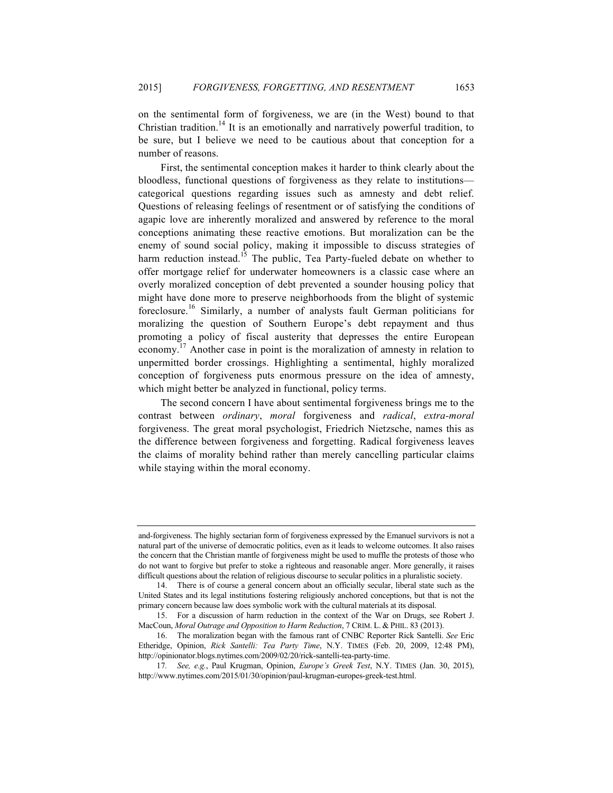on the sentimental form of forgiveness, we are (in the West) bound to that Christian tradition.<sup>14</sup> It is an emotionally and narratively powerful tradition, to be sure, but I believe we need to be cautious about that conception for a number of reasons.

First, the sentimental conception makes it harder to think clearly about the bloodless, functional questions of forgiveness as they relate to institutions categorical questions regarding issues such as amnesty and debt relief. Questions of releasing feelings of resentment or of satisfying the conditions of agapic love are inherently moralized and answered by reference to the moral conceptions animating these reactive emotions. But moralization can be the enemy of sound social policy, making it impossible to discuss strategies of harm reduction instead.<sup>15</sup> The public, Tea Party-fueled debate on whether to offer mortgage relief for underwater homeowners is a classic case where an overly moralized conception of debt prevented a sounder housing policy that might have done more to preserve neighborhoods from the blight of systemic foreclosure.<sup>16</sup> Similarly, a number of analysts fault German politicians for moralizing the question of Southern Europe's debt repayment and thus promoting a policy of fiscal austerity that depresses the entire European economy.<sup>17</sup> Another case in point is the moralization of amnesty in relation to unpermitted border crossings. Highlighting a sentimental, highly moralized conception of forgiveness puts enormous pressure on the idea of amnesty, which might better be analyzed in functional, policy terms.

The second concern I have about sentimental forgiveness brings me to the contrast between *ordinary*, *moral* forgiveness and *radical*, *extra-moral* forgiveness. The great moral psychologist, Friedrich Nietzsche, names this as the difference between forgiveness and forgetting. Radical forgiveness leaves the claims of morality behind rather than merely cancelling particular claims while staying within the moral economy.

and-forgiveness. The highly sectarian form of forgiveness expressed by the Emanuel survivors is not a natural part of the universe of democratic politics, even as it leads to welcome outcomes. It also raises the concern that the Christian mantle of forgiveness might be used to muffle the protests of those who do not want to forgive but prefer to stoke a righteous and reasonable anger. More generally, it raises difficult questions about the relation of religious discourse to secular politics in a pluralistic society.

<sup>14.</sup> There is of course a general concern about an officially secular, liberal state such as the United States and its legal institutions fostering religiously anchored conceptions, but that is not the primary concern because law does symbolic work with the cultural materials at its disposal.

<sup>15.</sup> For a discussion of harm reduction in the context of the War on Drugs, see Robert J. MacCoun, *Moral Outrage and Opposition to Harm Reduction*, 7 CRIM. L. & PHIL. 83 (2013).

<sup>16.</sup> The moralization began with the famous rant of CNBC Reporter Rick Santelli. *See* Eric Etheridge, Opinion, *Rick Santelli: Tea Party Time*, N.Y. TIMES (Feb. 20, 2009, 12:48 PM), http://opinionator.blogs.nytimes.com/2009/02/20/rick-santelli-tea-party-time.

<sup>17</sup>*. See, e.g.*, Paul Krugman, Opinion, *Europe's Greek Test*, N.Y. TIMES (Jan. 30, 2015), http://www.nytimes.com/2015/01/30/opinion/paul-krugman-europes-greek-test.html.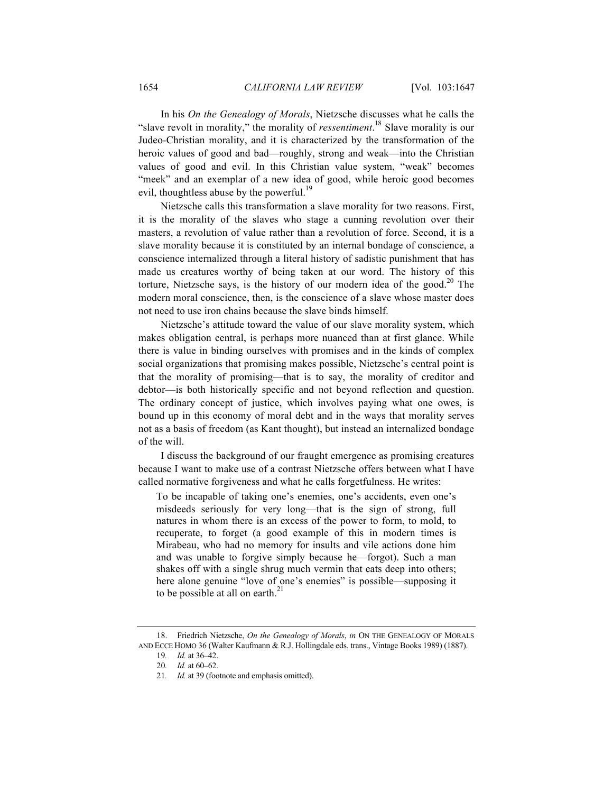In his *On the Genealogy of Morals*, Nietzsche discusses what he calls the "slave revolt in morality," the morality of *ressentiment*. <sup>18</sup> Slave morality is our Judeo-Christian morality, and it is characterized by the transformation of the heroic values of good and bad—roughly, strong and weak—into the Christian values of good and evil. In this Christian value system, "weak" becomes "meek" and an exemplar of a new idea of good, while heroic good becomes evil, thoughtless abuse by the powerful.<sup>19</sup>

Nietzsche calls this transformation a slave morality for two reasons. First, it is the morality of the slaves who stage a cunning revolution over their masters, a revolution of value rather than a revolution of force. Second, it is a slave morality because it is constituted by an internal bondage of conscience, a conscience internalized through a literal history of sadistic punishment that has made us creatures worthy of being taken at our word. The history of this torture, Nietzsche says, is the history of our modern idea of the good.<sup>20</sup> The modern moral conscience, then, is the conscience of a slave whose master does not need to use iron chains because the slave binds himself.

Nietzsche's attitude toward the value of our slave morality system, which makes obligation central, is perhaps more nuanced than at first glance. While there is value in binding ourselves with promises and in the kinds of complex social organizations that promising makes possible, Nietzsche's central point is that the morality of promising—that is to say, the morality of creditor and debtor—is both historically specific and not beyond reflection and question. The ordinary concept of justice, which involves paying what one owes, is bound up in this economy of moral debt and in the ways that morality serves not as a basis of freedom (as Kant thought), but instead an internalized bondage of the will.

I discuss the background of our fraught emergence as promising creatures because I want to make use of a contrast Nietzsche offers between what I have called normative forgiveness and what he calls forgetfulness. He writes:

To be incapable of taking one's enemies, one's accidents, even one's misdeeds seriously for very long—that is the sign of strong, full natures in whom there is an excess of the power to form, to mold, to recuperate, to forget (a good example of this in modern times is Mirabeau, who had no memory for insults and vile actions done him and was unable to forgive simply because he—forgot). Such a man shakes off with a single shrug much vermin that eats deep into others; here alone genuine "love of one's enemies" is possible—supposing it to be possible at all on earth. $^{21}$ 

<sup>18.</sup> Friedrich Nietzsche, *On the Genealogy of Morals*, *in* ON THE GENEALOGY OF MORALS AND ECCE HOMO 36 (Walter Kaufmann & R.J. Hollingdale eds. trans., Vintage Books 1989) (1887).

<sup>19</sup>*. Id.* at 36–42.

<sup>20</sup>*. Id.* at 60–62.

<sup>21</sup>*. Id.* at 39 (footnote and emphasis omitted).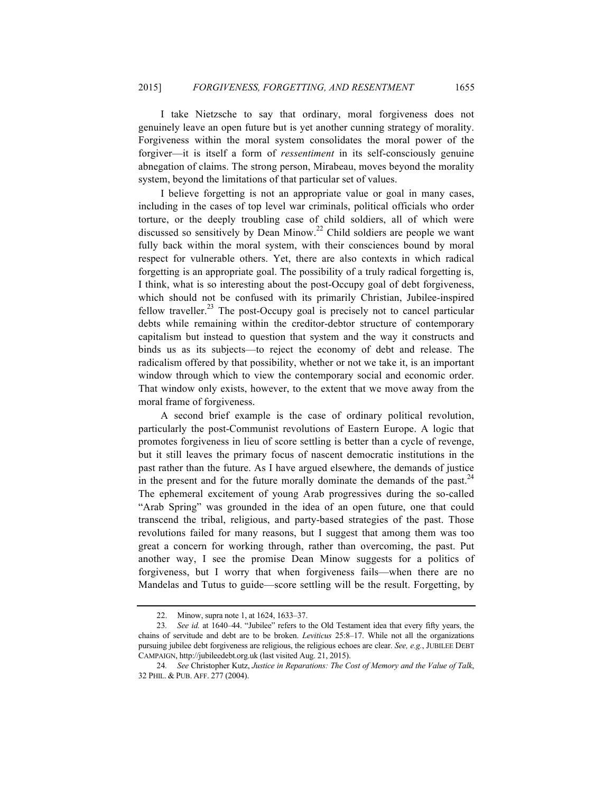I take Nietzsche to say that ordinary, moral forgiveness does not genuinely leave an open future but is yet another cunning strategy of morality. Forgiveness within the moral system consolidates the moral power of the forgiver—it is itself a form of *ressentiment* in its self-consciously genuine abnegation of claims. The strong person, Mirabeau, moves beyond the morality system, beyond the limitations of that particular set of values.

I believe forgetting is not an appropriate value or goal in many cases, including in the cases of top level war criminals, political officials who order torture, or the deeply troubling case of child soldiers, all of which were discussed so sensitively by Dean Minow.<sup>22</sup> Child soldiers are people we want fully back within the moral system, with their consciences bound by moral respect for vulnerable others. Yet, there are also contexts in which radical forgetting is an appropriate goal. The possibility of a truly radical forgetting is, I think, what is so interesting about the post-Occupy goal of debt forgiveness, which should not be confused with its primarily Christian, Jubilee-inspired fellow traveller.<sup>23</sup> The post-Occupy goal is precisely not to cancel particular debts while remaining within the creditor-debtor structure of contemporary capitalism but instead to question that system and the way it constructs and binds us as its subjects—to reject the economy of debt and release. The radicalism offered by that possibility, whether or not we take it, is an important window through which to view the contemporary social and economic order. That window only exists, however, to the extent that we move away from the moral frame of forgiveness.

A second brief example is the case of ordinary political revolution, particularly the post-Communist revolutions of Eastern Europe. A logic that promotes forgiveness in lieu of score settling is better than a cycle of revenge, but it still leaves the primary focus of nascent democratic institutions in the past rather than the future. As I have argued elsewhere, the demands of justice in the present and for the future morally dominate the demands of the past.<sup>24</sup> The ephemeral excitement of young Arab progressives during the so-called "Arab Spring" was grounded in the idea of an open future, one that could transcend the tribal, religious, and party-based strategies of the past. Those revolutions failed for many reasons, but I suggest that among them was too great a concern for working through, rather than overcoming, the past. Put another way, I see the promise Dean Minow suggests for a politics of forgiveness, but I worry that when forgiveness fails—when there are no Mandelas and Tutus to guide—score settling will be the result. Forgetting, by

<sup>22.</sup> Minow, supra note 1, at 1624, 1633–37.

<sup>23</sup>*. See id.* at 1640–44. "Jubilee" refers to the Old Testament idea that every fifty years, the chains of servitude and debt are to be broken. *Leviticus* 25:8–17. While not all the organizations pursuing jubilee debt forgiveness are religious, the religious echoes are clear. *See, e.g.*, JUBILEE DEBT CAMPAIGN, http://jubileedebt.org.uk (last visited Aug. 21, 2015).

<sup>24</sup>*. See* Christopher Kutz, *Justice in Reparations: The Cost of Memory and the Value of Talk*, 32 PHIL. & PUB. AFF. 277 (2004).